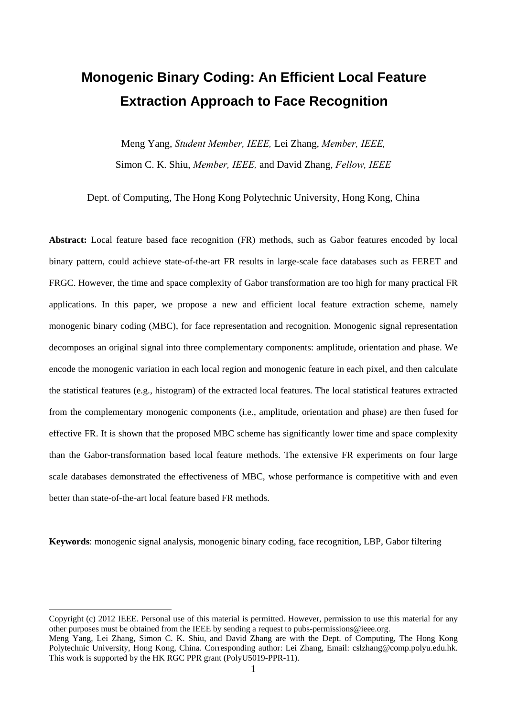# **Monogenic Binary Coding: An Efficient Local Feature Extraction Approach to Face Recognition**

Meng Yang, *Student Member, IEEE,* Lei Zhang, *Member, IEEE,* Simon C. K. Shiu, *Member, IEEE,* and David Zhang, *Fellow, IEEE*

Dept. of Computing, The Hong Kong Polytechnic University, Hong Kong, China

**Abstract:** Local feature based face recognition (FR) methods, such as Gabor features encoded by local binary pattern, could achieve state-of-the-art FR results in large-scale face databases such as FERET and FRGC. However, the time and space complexity of Gabor transformation are too high for many practical FR applications. In this paper, we propose a new and efficient local feature extraction scheme, namely monogenic binary coding (MBC), for face representation and recognition. Monogenic signal representation decomposes an original signal into three complementary components: amplitude, orientation and phase. We encode the monogenic variation in each local region and monogenic feature in each pixel, and then calculate the statistical features (e.g., histogram) of the extracted local features. The local statistical features extracted from the complementary monogenic components (i.e., amplitude, orientation and phase) are then fused for effective FR. It is shown that the proposed MBC scheme has significantly lower time and space complexity than the Gabor-transformation based local feature methods. The extensive FR experiments on four large scale databases demonstrated the effectiveness of MBC, whose performance is competitive with and even better than state-of-the-art local feature based FR methods.

**Keywords**: monogenic signal analysis, monogenic binary coding, face recognition, LBP, Gabor filtering

 $\overline{a}$ 

Copyright (c) 2012 IEEE. Personal use of this material is permitted. However, permission to use this material for any other purposes must be obtained from the IEEE by sending a request to pubs-permissions@ieee.org. Meng Yang, Lei Zhang, Simon C. K. Shiu, and David Zhang are with the Dept. of Computing, The Hong Kong Polytechnic University, Hong Kong, China. Corresponding author: Lei Zhang, Email: cslzhang@comp.polyu.edu.hk.

This work is supported by the HK RGC PPR grant (PolyU5019-PPR-11).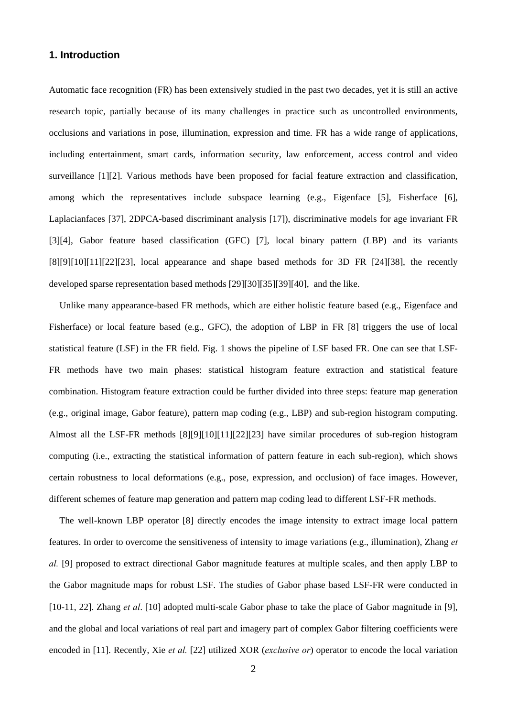# **1. Introduction**

Automatic face recognition (FR) has been extensively studied in the past two decades, yet it is still an active research topic, partially because of its many challenges in practice such as uncontrolled environments, occlusions and variations in pose, illumination, expression and time. FR has a wide range of applications, including entertainment, smart cards, information security, law enforcement, access control and video surveillance [1][2]. Various methods have been proposed for facial feature extraction and classification, among which the representatives include subspace learning (e.g., Eigenface [5], Fisherface [6], Laplacianfaces [37], 2DPCA-based discriminant analysis [17]), discriminative models for age invariant FR [3][4], Gabor feature based classification (GFC) [7], local binary pattern (LBP) and its variants  $[8][9][10][11][22][23]$ , local appearance and shape based methods for 3D FR  $[24][38]$ , the recently developed sparse representation based methods [29][30][35][39][40], and the like.

Unlike many appearance-based FR methods, which are either holistic feature based (e.g., Eigenface and Fisherface) or local feature based (e.g., GFC), the adoption of LBP in FR [8] triggers the use of local statistical feature (LSF) in the FR field. Fig. 1 shows the pipeline of LSF based FR. One can see that LSF-FR methods have two main phases: statistical histogram feature extraction and statistical feature combination. Histogram feature extraction could be further divided into three steps: feature map generation (e.g., original image, Gabor feature), pattern map coding (e.g., LBP) and sub-region histogram computing. Almost all the LSF-FR methods [8][9][10][11][22][23] have similar procedures of sub-region histogram computing (i.e., extracting the statistical information of pattern feature in each sub-region), which shows certain robustness to local deformations (e.g., pose, expression, and occlusion) of face images. However, different schemes of feature map generation and pattern map coding lead to different LSF-FR methods.

The well-known LBP operator [8] directly encodes the image intensity to extract image local pattern features. In order to overcome the sensitiveness of intensity to image variations (e.g., illumination), Zhang *et al.* [9] proposed to extract directional Gabor magnitude features at multiple scales, and then apply LBP to the Gabor magnitude maps for robust LSF. The studies of Gabor phase based LSF-FR were conducted in [10-11, 22]. Zhang *et al*. [10] adopted multi-scale Gabor phase to take the place of Gabor magnitude in [9], and the global and local variations of real part and imagery part of complex Gabor filtering coefficients were encoded in [11]. Recently, Xie *et al.* [22] utilized XOR (*exclusive or*) operator to encode the local variation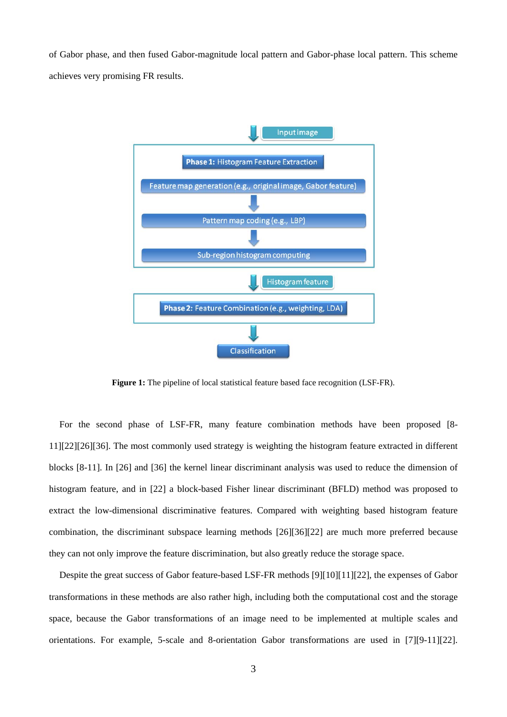of Gabor phase, and then fused Gabor-magnitude local pattern and Gabor-phase local pattern. This scheme achieves very promising FR results.



Figure 1: The pipeline of local statistical feature based face recognition (LSF-FR).

For the second phase of LSF-FR, many feature combination methods have been proposed [8- 11][22][26][36]. The most commonly used strategy is weighting the histogram feature extracted in different blocks [8-11]. In [26] and [36] the kernel linear discriminant analysis was used to reduce the dimension of histogram feature, and in [22] a block-based Fisher linear discriminant (BFLD) method was proposed to extract the low-dimensional discriminative features. Compared with weighting based histogram feature combination, the discriminant subspace learning methods [26][36][22] are much more preferred because they can not only improve the feature discrimination, but also greatly reduce the storage space.

Despite the great success of Gabor feature-based LSF-FR methods [9][10][11][22], the expenses of Gabor transformations in these methods are also rather high, including both the computational cost and the storage space, because the Gabor transformations of an image need to be implemented at multiple scales and orientations. For example, 5-scale and 8-orientation Gabor transformations are used in [7][9-11][22].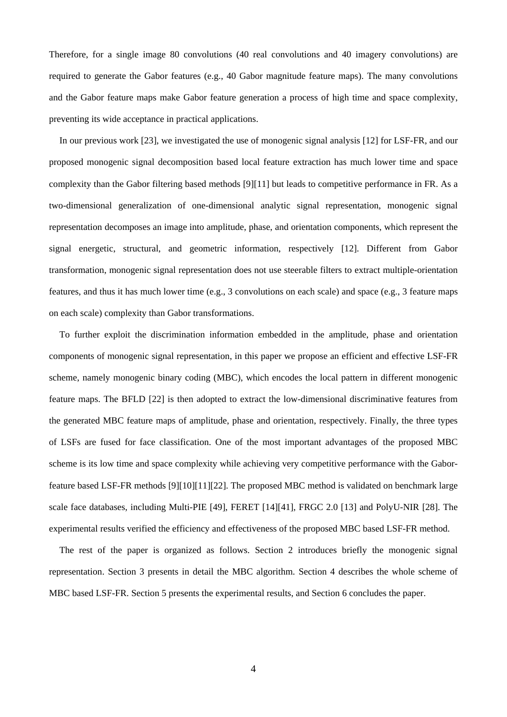Therefore, for a single image 80 convolutions (40 real convolutions and 40 imagery convolutions) are required to generate the Gabor features (e.g., 40 Gabor magnitude feature maps). The many convolutions and the Gabor feature maps make Gabor feature generation a process of high time and space complexity, preventing its wide acceptance in practical applications.

In our previous work [23], we investigated the use of monogenic signal analysis [12] for LSF-FR, and our proposed monogenic signal decomposition based local feature extraction has much lower time and space complexity than the Gabor filtering based methods [9][11] but leads to competitive performance in FR. As a two-dimensional generalization of one-dimensional analytic signal representation, monogenic signal representation decomposes an image into amplitude, phase, and orientation components, which represent the signal energetic, structural, and geometric information, respectively [12]. Different from Gabor transformation, monogenic signal representation does not use steerable filters to extract multiple-orientation features, and thus it has much lower time (e.g., 3 convolutions on each scale) and space (e.g., 3 feature maps on each scale) complexity than Gabor transformations.

To further exploit the discrimination information embedded in the amplitude, phase and orientation components of monogenic signal representation, in this paper we propose an efficient and effective LSF-FR scheme, namely monogenic binary coding (MBC), which encodes the local pattern in different monogenic feature maps. The BFLD [22] is then adopted to extract the low-dimensional discriminative features from the generated MBC feature maps of amplitude, phase and orientation, respectively. Finally, the three types of LSFs are fused for face classification. One of the most important advantages of the proposed MBC scheme is its low time and space complexity while achieving very competitive performance with the Gaborfeature based LSF-FR methods [9][10][11][22]. The proposed MBC method is validated on benchmark large scale face databases, including Multi-PIE [49], FERET [14][41], FRGC 2.0 [13] and PolyU-NIR [28]. The experimental results verified the efficiency and effectiveness of the proposed MBC based LSF-FR method.

The rest of the paper is organized as follows. Section 2 introduces briefly the monogenic signal representation. Section 3 presents in detail the MBC algorithm. Section 4 describes the whole scheme of MBC based LSF-FR. Section 5 presents the experimental results, and Section 6 concludes the paper.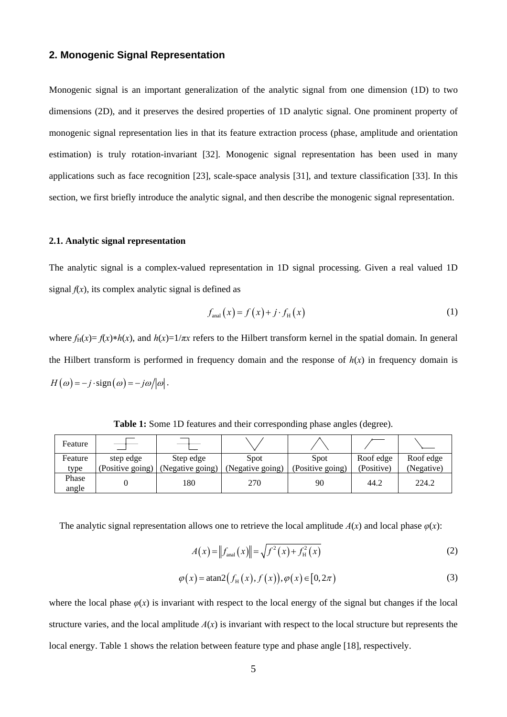# **2. Monogenic Signal Representation**

Monogenic signal is an important generalization of the analytic signal from one dimension (1D) to two dimensions (2D), and it preserves the desired properties of 1D analytic signal. One prominent property of monogenic signal representation lies in that its feature extraction process (phase, amplitude and orientation estimation) is truly rotation-invariant [32]. Monogenic signal representation has been used in many applications such as face recognition [23], scale-space analysis [31], and texture classification [33]. In this section, we first briefly introduce the analytic signal, and then describe the monogenic signal representation.

# **2.1. Analytic signal representation**

The analytic signal is a complex-valued representation in 1D signal processing. Given a real valued 1D signal  $f(x)$ , its complex analytic signal is defined as

$$
f_{\text{anal}}(x) = f(x) + j \cdot f_{\text{H}}(x) \tag{1}
$$

where  $f_H(x) = f(x) * h(x)$ , and  $h(x)=1/\pi x$  refers to the Hilbert transform kernel in the spatial domain. In general the Hilbert transform is performed in frequency domain and the response of  $h(x)$  in frequency domain is  $H(\omega) = -j \cdot sign(\omega) = -j\omega/|\omega|.$ 

| Feature |                  |                  |                  |                  |            |            |
|---------|------------------|------------------|------------------|------------------|------------|------------|
| Feature | step edge        | Step edge        | Spot             | Spot             | Roof edge  | Roof edge  |
| type    | (Positive going) | (Negative going) | (Negative going) | (Positive going) | (Positive) | (Negative) |
| Phase   |                  | 180              | 270              | 90               | 44.2       | 224.2      |
| angle   |                  |                  |                  |                  |            |            |

**Table 1:** Some 1D features and their corresponding phase angles (degree).

The analytic signal representation allows one to retrieve the local amplitude  $A(x)$  and local phase  $\varphi(x)$ :

$$
A(x) = \|f_{\text{anal}}(x)\| = \sqrt{f^2(x) + f_{\text{H}}^2(x)}
$$
 (2)

$$
\varphi(x) = \operatorname{atan2}\left(f_H(x), f(x)\right), \varphi(x) \in [0, 2\pi) \tag{3}
$$

where the local phase  $\varphi(x)$  is invariant with respect to the local energy of the signal but changes if the local structure varies, and the local amplitude  $A(x)$  is invariant with respect to the local structure but represents the local energy. Table 1 shows the relation between feature type and phase angle [18], respectively.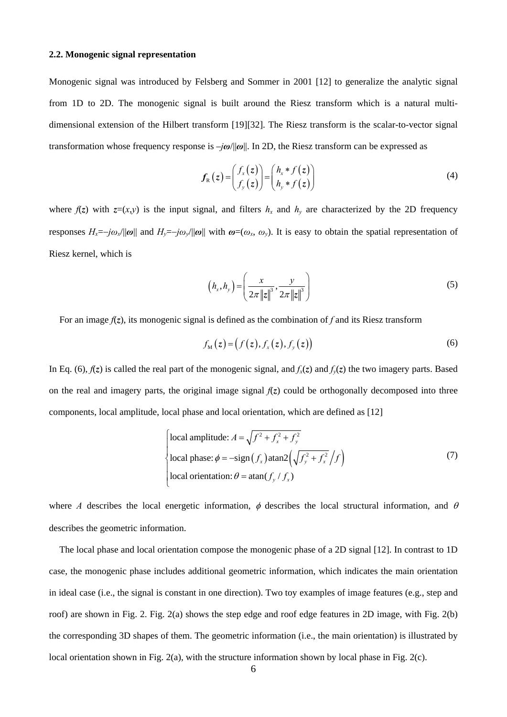#### **2.2. Monogenic signal representation**

Monogenic signal was introduced by Felsberg and Sommer in 2001 [12] to generalize the analytic signal from 1D to 2D. The monogenic signal is built around the Riesz transform which is a natural multidimensional extension of the Hilbert transform [19][32]. The Riesz transform is the scalar-to-vector signal transformation whose frequency response is –*jω*/||*ω*||. In 2D, the Riesz transform can be expressed as

$$
f_{R}(z) = \begin{pmatrix} f_{x}(z) \\ f_{y}(z) \end{pmatrix} = \begin{pmatrix} h_{x} * f(z) \\ h_{y} * f(z) \end{pmatrix}
$$
 (4)

where  $f(z)$  with  $z=(x,y)$  is the input signal, and filters  $h_x$  and  $h_y$  are characterized by the 2D frequency responses  $H_x = -j\omega_x/\|\omega\|$  and  $H_y = -j\omega_y/\|\omega\|$  with  $\omega = (\omega_x, \omega_y)$ . It is easy to obtain the spatial representation of Riesz kernel, which is

$$
\left(h_x, h_y\right) = \left(\frac{x}{2\pi \|z\|^3}, \frac{y}{2\pi \|z\|^3}\right) \tag{5}
$$

For an image  $f(z)$ , its monogenic signal is defined as the combination of f and its Riesz transform

$$
f_{\scriptscriptstyle{\mathrm{M}}}(z) = \bigl(f(z), f_{\scriptscriptstyle{\mathrm{x}}}(z), f_{\scriptscriptstyle{\mathrm{y}}}(z)\bigr) \tag{6}
$$

In Eq. (6),  $f(z)$  is called the real part of the monogenic signal, and  $f_x(z)$  and  $f_y(z)$  the two imagery parts. Based on the real and imagery parts, the original image signal  $f(z)$  could be orthogonally decomposed into three components, local amplitude, local phase and local orientation, which are defined as [12]

$$
\begin{cases}\n\text{local amplitude: } A = \sqrt{f^2 + f_x^2 + f_y^2} \\
\text{local phase: } \phi = -\text{sign}(f_x)\text{atan2}\left(\sqrt{f_y^2 + f_x^2}/f\right) \\
\text{local orientation: } \theta = \text{atan}(f_y / f_x)\n\end{cases} (7)
$$

where *A* describes the local energetic information,  $\phi$  describes the local structural information, and  $\theta$ describes the geometric information.

The local phase and local orientation compose the monogenic phase of a 2D signal [12]. In contrast to 1D case, the monogenic phase includes additional geometric information, which indicates the main orientation in ideal case (i.e., the signal is constant in one direction). Two toy examples of image features (e.g., step and roof) are shown in Fig. 2. Fig. 2(a) shows the step edge and roof edge features in 2D image, with Fig. 2(b) the corresponding 3D shapes of them. The geometric information (i.e., the main orientation) is illustrated by local orientation shown in Fig. 2(a), with the structure information shown by local phase in Fig. 2(c).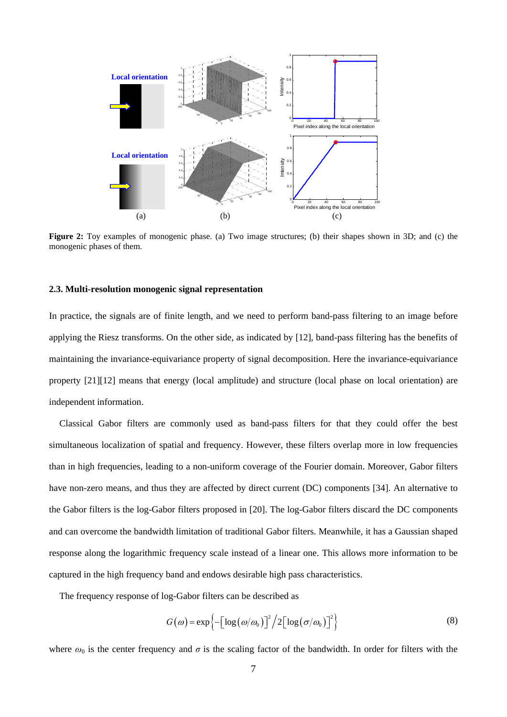

**Figure 2:** Toy examples of monogenic phase. (a) Two image structures; (b) their shapes shown in 3D; and (c) the monogenic phases of them.

#### **2.3. Multi-resolution monogenic signal representation**

In practice, the signals are of finite length, and we need to perform band-pass filtering to an image before applying the Riesz transforms. On the other side, as indicated by [12], band-pass filtering has the benefits of maintaining the invariance-equivariance property of signal decomposition. Here the invariance-equivariance property [21][12] means that energy (local amplitude) and structure (local phase on local orientation) are independent information.

Classical Gabor filters are commonly used as band-pass filters for that they could offer the best simultaneous localization of spatial and frequency. However, these filters overlap more in low frequencies than in high frequencies, leading to a non-uniform coverage of the Fourier domain. Moreover, Gabor filters have non-zero means, and thus they are affected by direct current (DC) components [34]. An alternative to the Gabor filters is the log-Gabor filters proposed in [20]. The log-Gabor filters discard the DC components and can overcome the bandwidth limitation of traditional Gabor filters. Meanwhile, it has a Gaussian shaped response along the logarithmic frequency scale instead of a linear one. This allows more information to be captured in the high frequency band and endows desirable high pass characteristics.

The frequency response of log-Gabor filters can be described as

$$
G(\omega) = \exp\left\{-\left[\log\left(\omega/\omega_0\right)\right]^2/2\left[\log\left(\sigma/\omega_0\right)\right]^2\right\}\tag{8}
$$

where  $\omega_0$  is the center frequency and  $\sigma$  is the scaling factor of the bandwidth. In order for filters with the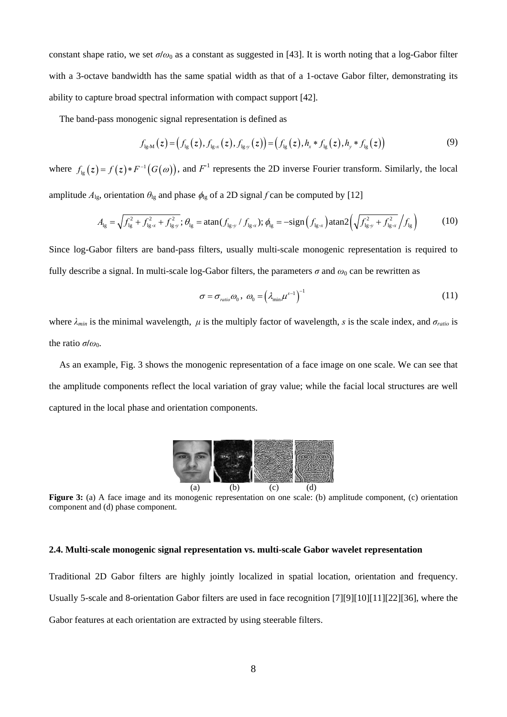constant shape ratio, we set  $\sigma/\omega_0$  as a constant as suggested in [43]. It is worth noting that a log-Gabor filter with a 3-octave bandwidth has the same spatial width as that of a 1-octave Gabor filter, demonstrating its ability to capture broad spectral information with compact support [42].

The band-pass monogenic signal representation is defined as

$$
f_{lg \cdot M}(z) = (f_{lg}(z), f_{lg \cdot x}(z), f_{lg \cdot y}(z)) = (f_{lg}(z), h_x * f_{lg}(z), h_y * f_{lg}(z))
$$
\n(9)

where  $f_{lg}(z) = f(z) * F^{-1}(G(\omega))$ , and  $F^{-1}$  represents the 2D inverse Fourier transform. Similarly, the local amplitude  $A_{lg}$ , orientation  $\theta_{lg}$  and phase  $\phi_{lg}$  of a 2D signal *f* can be computed by [12]

$$
A_{\rm lg} = \sqrt{f_{\rm lg}^2 + f_{\rm lg,x}^2 + f_{\rm lg,y}^2}; \theta_{\rm lg} = \tan(f_{\rm lg,y}/f_{\rm lg,x}); \phi_{\rm lg} = -\sin\left(f_{\rm lg,x}\right)\tan 2\left(\sqrt{f_{\rm lg,y}^2 + f_{\rm lg,x}^2}/f_{\rm lg}\right) \tag{10}
$$

Since log-Gabor filters are band-pass filters, usually multi-scale monogenic representation is required to fully describe a signal. In multi-scale log-Gabor filters, the parameters  $\sigma$  and  $\omega_0$  can be rewritten as

$$
\sigma = \sigma_{\text{ratio}} \omega_0, \ \omega_0 = \left(\lambda_{\min} \mu^{s-1}\right)^{-1} \tag{11}
$$

where  $\lambda_{min}$  is the minimal wavelength,  $\mu$  is the multiply factor of wavelength, *s* is the scale index, and  $\sigma_{ratio}$  is the ratio *σlω*<sub>0</sub>.

As an example, Fig. 3 shows the monogenic representation of a face image on one scale. We can see that the amplitude components reflect the local variation of gray value; while the facial local structures are well captured in the local phase and orientation components.



**Figure 3:** (a) A face image and its monogenic representation on one scale: (b) amplitude component, (c) orientation component and (d) phase component.

#### **2.4. Multi-scale monogenic signal representation vs. multi-scale Gabor wavelet representation**

Traditional 2D Gabor filters are highly jointly localized in spatial location, orientation and frequency. Usually 5-scale and 8-orientation Gabor filters are used in face recognition [7][9][10][11][22][36], where the Gabor features at each orientation are extracted by using steerable filters.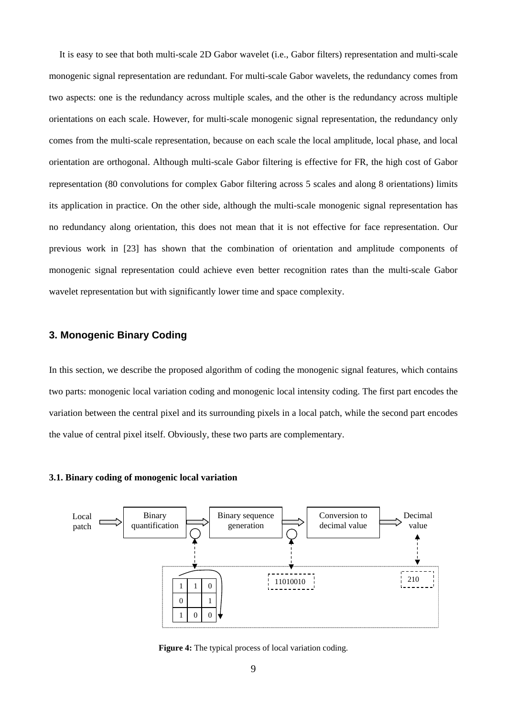It is easy to see that both multi-scale 2D Gabor wavelet (i.e., Gabor filters) representation and multi-scale monogenic signal representation are redundant. For multi-scale Gabor wavelets, the redundancy comes from two aspects: one is the redundancy across multiple scales, and the other is the redundancy across multiple orientations on each scale. However, for multi-scale monogenic signal representation, the redundancy only comes from the multi-scale representation, because on each scale the local amplitude, local phase, and local orientation are orthogonal. Although multi-scale Gabor filtering is effective for FR, the high cost of Gabor representation (80 convolutions for complex Gabor filtering across 5 scales and along 8 orientations) limits its application in practice. On the other side, although the multi-scale monogenic signal representation has no redundancy along orientation, this does not mean that it is not effective for face representation. Our previous work in [23] has shown that the combination of orientation and amplitude components of monogenic signal representation could achieve even better recognition rates than the multi-scale Gabor wavelet representation but with significantly lower time and space complexity.

# **3. Monogenic Binary Coding**

In this section, we describe the proposed algorithm of coding the monogenic signal features, which contains two parts: monogenic local variation coding and monogenic local intensity coding. The first part encodes the variation between the central pixel and its surrounding pixels in a local patch, while the second part encodes the value of central pixel itself. Obviously, these two parts are complementary.

#### **3.1. Binary coding of monogenic local variation**



**Figure 4:** The typical process of local variation coding.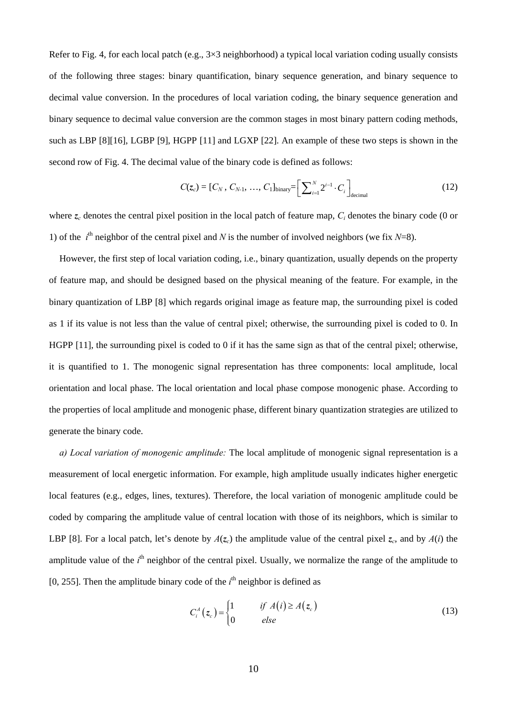Refer to Fig. 4, for each local patch (e.g.,  $3\times 3$  neighborhood) a typical local variation coding usually consists of the following three stages: binary quantification, binary sequence generation, and binary sequence to decimal value conversion. In the procedures of local variation coding, the binary sequence generation and binary sequence to decimal value conversion are the common stages in most binary pattern coding methods, such as LBP [8][16], LGBP [9], HGPP [11] and LGXP [22]. An example of these two steps is shown in the second row of Fig. 4. The decimal value of the binary code is defined as follows:

$$
C(z_c) = [C_N, C_{N-1}, ..., C_1]_{\text{binary}} = \left[\sum_{i=1}^{N} 2^{i-1} \cdot C_i\right]_{\text{decimal}}
$$
(12)

where  $z_c$  denotes the central pixel position in the local patch of feature map,  $C_i$  denotes the binary code (0 or 1) of the  $i^{\text{th}}$  neighbor of the central pixel and *N* is the number of involved neighbors (we fix *N*=8).

However, the first step of local variation coding, i.e., binary quantization, usually depends on the property of feature map, and should be designed based on the physical meaning of the feature. For example, in the binary quantization of LBP [8] which regards original image as feature map, the surrounding pixel is coded as 1 if its value is not less than the value of central pixel; otherwise, the surrounding pixel is coded to 0. In HGPP [11], the surrounding pixel is coded to 0 if it has the same sign as that of the central pixel; otherwise, it is quantified to 1. The monogenic signal representation has three components: local amplitude, local orientation and local phase. The local orientation and local phase compose monogenic phase. According to the properties of local amplitude and monogenic phase, different binary quantization strategies are utilized to generate the binary code.

*a) Local variation of monogenic amplitude:* The local amplitude of monogenic signal representation is a measurement of local energetic information. For example, high amplitude usually indicates higher energetic local features (e.g., edges, lines, textures). Therefore, the local variation of monogenic amplitude could be coded by comparing the amplitude value of central location with those of its neighbors, which is similar to LBP [8]. For a local patch, let's denote by  $A(z_c)$  the amplitude value of the central pixel  $z_c$ , and by  $A(i)$  the amplitude value of the  $i<sup>th</sup>$  neighbor of the central pixel. Usually, we normalize the range of the amplitude to [0, 255]. Then the amplitude binary code of the  $i<sup>th</sup>$  neighbor is defined as

$$
C_i^A(z_c) = \begin{cases} 1 & \text{if } A(i) \ge A(z_c) \\ 0 & \text{else} \end{cases}
$$
 (13)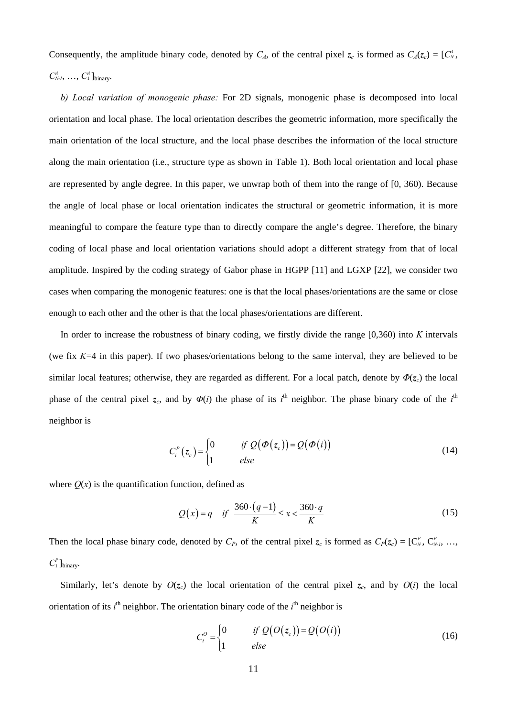Consequently, the amplitude binary code, denoted by  $C_A$ , of the central pixel  $z_c$  is formed as  $C_A(z_c) = [C_N^A,$  $C_{N-I}^4$ , ...,  $C_1^4$  ]<sub>binary</sub>.

*b) Local variation of monogenic phase:* For 2D signals, monogenic phase is decomposed into local orientation and local phase. The local orientation describes the geometric information, more specifically the main orientation of the local structure, and the local phase describes the information of the local structure along the main orientation (i.e., structure type as shown in Table 1). Both local orientation and local phase are represented by angle degree. In this paper, we unwrap both of them into the range of [0, 360). Because the angle of local phase or local orientation indicates the structural or geometric information, it is more meaningful to compare the feature type than to directly compare the angle's degree. Therefore, the binary coding of local phase and local orientation variations should adopt a different strategy from that of local amplitude. Inspired by the coding strategy of Gabor phase in HGPP [11] and LGXP [22], we consider two cases when comparing the monogenic features: one is that the local phases/orientations are the same or close enough to each other and the other is that the local phases/orientations are different.

In order to increase the robustness of binary coding, we firstly divide the range [0,360) into *K* intervals (we fix *K*=4 in this paper). If two phases/orientations belong to the same interval, they are believed to be similar local features; otherwise, they are regarded as different. For a local patch, denote by  $\Phi(z_c)$  the local phase of the central pixel  $z_c$ , and by  $\Phi(i)$  the phase of its  $i^{\text{th}}$  neighbor. The phase binary code of the  $i^{\text{th}}$ neighbor is

$$
C_i^P(z_c) = \begin{cases} 0 & \text{if } Q(\Phi(z_c)) = Q(\Phi(i)) \\ 1 & \text{else} \end{cases}
$$
 (14)

where  $Q(x)$  is the quantification function, defined as

$$
Q(x) = q \quad \text{if} \quad \frac{360 \cdot (q-1)}{K} \le x < \frac{360 \cdot q}{K} \tag{15}
$$

Then the local phase binary code, denoted by  $C_P$ , of the central pixel  $z_c$  is formed as  $C_P(z_c) = [C_N^P, C_{N-I}^P, \ldots, C_{N}^P]$  $C_1^P$  ]<sub>binary</sub>.

Similarly, let's denote by  $O(z_c)$  the local orientation of the central pixel  $z_c$ , and by  $O(i)$  the local orientation of its  $i^{\text{th}}$  neighbor. The orientation binary code of the  $i^{\text{th}}$  neighbor is

$$
C_i^o = \begin{cases} 0 & \text{if } Q(O(z_c)) = Q(O(i)) \\ 1 & \text{else} \end{cases}
$$
 (16)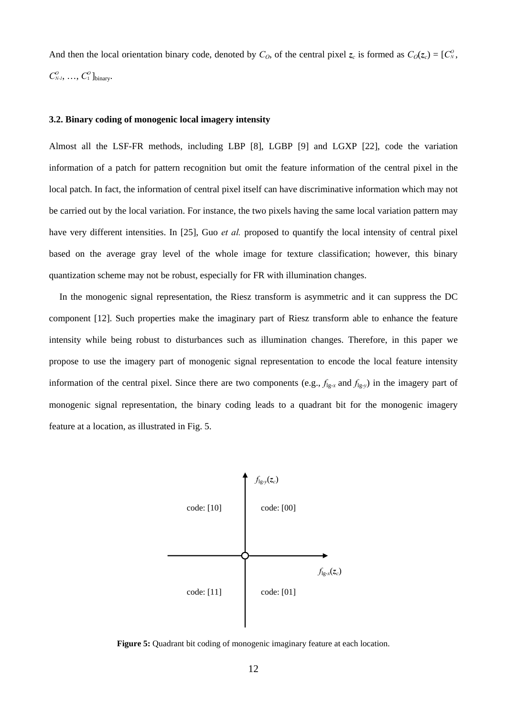And then the local orientation binary code, denoted by  $C<sub>0</sub>$ , of the central pixel  $z_c$  is formed as  $C<sub>0</sub>(z_c) = [C<sub>N</sub><sup>0</sup>]$ ,  $C_{N-I}^O$ , ...,  $C_1^O$  ]<sub>binary</sub>.

## **3.2. Binary coding of monogenic local imagery intensity**

Almost all the LSF-FR methods, including LBP [8], LGBP [9] and LGXP [22], code the variation information of a patch for pattern recognition but omit the feature information of the central pixel in the local patch. In fact, the information of central pixel itself can have discriminative information which may not be carried out by the local variation. For instance, the two pixels having the same local variation pattern may have very different intensities. In [25], Guo *et al.* proposed to quantify the local intensity of central pixel based on the average gray level of the whole image for texture classification; however, this binary quantization scheme may not be robust, especially for FR with illumination changes.

In the monogenic signal representation, the Riesz transform is asymmetric and it can suppress the DC component [12]. Such properties make the imaginary part of Riesz transform able to enhance the feature intensity while being robust to disturbances such as illumination changes. Therefore, in this paper we propose to use the imagery part of monogenic signal representation to encode the local feature intensity information of the central pixel. Since there are two components (e.g.,  $f_{lg-x}$  and  $f_{lg-y}$ ) in the imagery part of monogenic signal representation, the binary coding leads to a quadrant bit for the monogenic imagery feature at a location, as illustrated in Fig. 5.



**Figure 5:** Quadrant bit coding of monogenic imaginary feature at each location.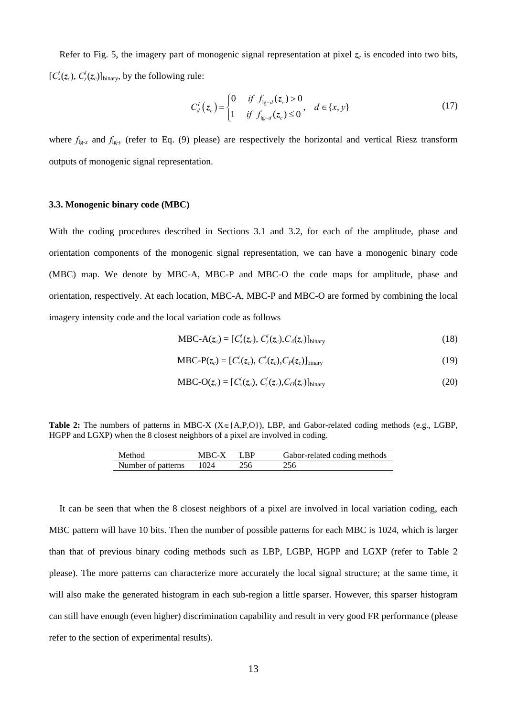Refer to Fig. 5, the imagery part of monogenic signal representation at pixel  $z_c$  is encoded into two bits,  $[C_x^{I}(z_c), C_y^{I}(z_c)]_{\text{binary}}$ , by the following rule:

$$
C_d^I(z_c) = \begin{cases} 0 & \text{if } f_{1g-d}(z_c) > 0 \\ 1 & \text{if } f_{1g-d}(z_c) \le 0 \end{cases}, \quad d \in \{x, y\}
$$
 (17)

where  $f_{\lg x}$  and  $f_{\lg y}$  (refer to Eq. (9) please) are respectively the horizontal and vertical Riesz transform outputs of monogenic signal representation.

## **3.3. Monogenic binary code (MBC)**

With the coding procedures described in Sections 3.1 and 3.2, for each of the amplitude, phase and orientation components of the monogenic signal representation, we can have a monogenic binary code (MBC) map. We denote by MBC-A, MBC-P and MBC-O the code maps for amplitude, phase and orientation, respectively. At each location, MBC-A, MBC-P and MBC-O are formed by combining the local imagery intensity code and the local variation code as follows

$$
MBC-A(z_c) = [C'_x(z_c), C'_y(z_c), C'_z(z_c)]_{\text{binary}}
$$
\n(18)

$$
MBC-P(zc) = [C'_{x}(zc), C'_{y}(zc), C_{P}(zc)]_{\text{binary}}
$$
\n(19)

$$
MBC-O(zc) = [C'x(zc), C'y(zc), CO(zc)]binary
$$
\n(20)

Table 2: The numbers of patterns in MBC-X ( $X \in \{A, P, O\}$ ), LBP, and Gabor-related coding methods (e.g., LGBP, HGPP and LGXP) when the 8 closest neighbors of a pixel are involved in coding.

| Method             | $MBC-X$ LBP |     | Gabor-related coding methods |
|--------------------|-------------|-----|------------------------------|
| Number of patterns | 1024        | 256 | 256                          |

It can be seen that when the 8 closest neighbors of a pixel are involved in local variation coding, each MBC pattern will have 10 bits. Then the number of possible patterns for each MBC is 1024, which is larger than that of previous binary coding methods such as LBP, LGBP, HGPP and LGXP (refer to Table 2 please). The more patterns can characterize more accurately the local signal structure; at the same time, it will also make the generated histogram in each sub-region a little sparser. However, this sparser histogram can still have enough (even higher) discrimination capability and result in very good FR performance (please refer to the section of experimental results).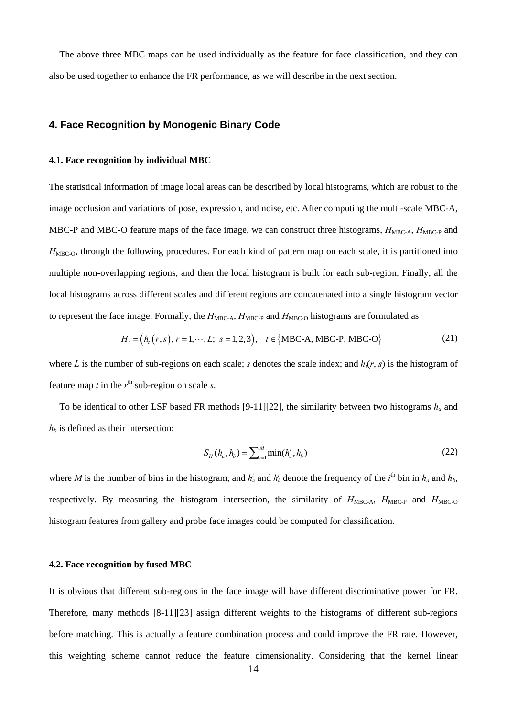The above three MBC maps can be used individually as the feature for face classification, and they can also be used together to enhance the FR performance, as we will describe in the next section.

# **4. Face Recognition by Monogenic Binary Code**

#### **4.1. Face recognition by individual MBC**

The statistical information of image local areas can be described by local histograms, which are robust to the image occlusion and variations of pose, expression, and noise, etc. After computing the multi-scale MBC-A, MBC-P and MBC-O feature maps of the face image, we can construct three histograms,  $H_{\text{MBC-A}}$ ,  $H_{\text{MBC-P}}$  and *H*<sub>MBC-O</sub>, through the following procedures. For each kind of pattern map on each scale, it is partitioned into multiple non-overlapping regions, and then the local histogram is built for each sub-region. Finally, all the local histograms across different scales and different regions are concatenated into a single histogram vector to represent the face image. Formally, the  $H_{\text{MBC-A}}$ ,  $H_{\text{MBC-P}}$  and  $H_{\text{MBC-O}}$  histograms are formulated as

$$
H_t = (h_t(r, s), r = 1, \cdots, L; s = 1, 2, 3), t \in \{MBC-A, MBC-P, MBC-O\}
$$
 (21)

where *L* is the number of sub-regions on each scale; *s* denotes the scale index; and  $h<sub>i</sub>(r, s)$  is the histogram of feature map *t* in the  $r<sup>th</sup>$  sub-region on scale *s*.

To be identical to other LSF based FR methods [9-11][22], the similarity between two histograms  $h_a$  and  $h_b$  is defined as their intersection:

$$
S_H(h_a, h_b) = \sum_{i=1}^{M} \min(h_a^i, h_b^i)
$$
 (22)

where *M* is the number of bins in the histogram, and  $h_a^i$  and  $h_b^i$  denote the frequency of the  $i^{\text{th}}$  bin in  $h_a$  and  $h_b$ , respectively. By measuring the histogram intersection, the similarity of  $H_{\text{MBC-A}}$ ,  $H_{\text{MBC-P}}$  and  $H_{\text{MBC-O}}$ histogram features from gallery and probe face images could be computed for classification.

## **4.2. Face recognition by fused MBC**

It is obvious that different sub-regions in the face image will have different discriminative power for FR. Therefore, many methods [8-11][23] assign different weights to the histograms of different sub-regions before matching. This is actually a feature combination process and could improve the FR rate. However, this weighting scheme cannot reduce the feature dimensionality. Considering that the kernel linear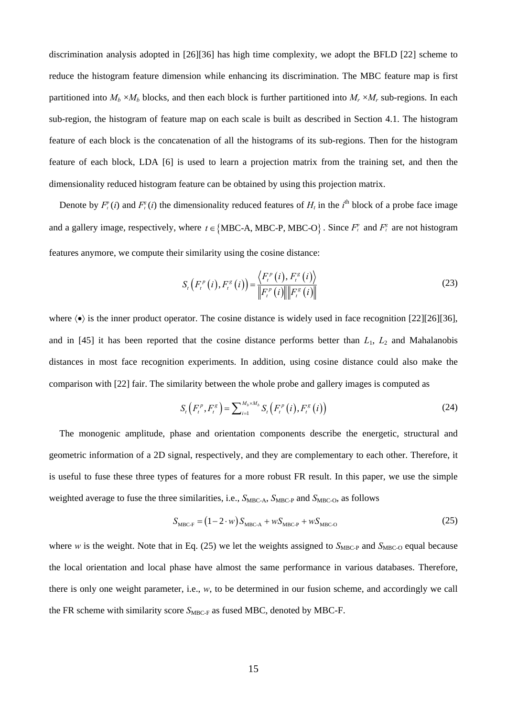discrimination analysis adopted in [26][36] has high time complexity, we adopt the BFLD [22] scheme to reduce the histogram feature dimension while enhancing its discrimination. The MBC feature map is first partitioned into  $M_h \times M_h$  blocks, and then each block is further partitioned into  $M_r \times M_r$  sub-regions. In each sub-region, the histogram of feature map on each scale is built as described in Section 4.1. The histogram feature of each block is the concatenation of all the histograms of its sub-regions. Then for the histogram feature of each block, LDA [6] is used to learn a projection matrix from the training set, and then the dimensionality reduced histogram feature can be obtained by using this projection matrix.

Denote by  $F_t^v(i)$  and  $F_t^s(i)$  the dimensionality reduced features of  $H_t$  in the  $i^{\text{th}}$  block of a probe face image and a gallery image, respectively, where  $t \in \{MBC-A, MBC-P, MBC-O\}$ . Since  $F_t^p$  and  $F_t^s$  are not histogram features anymore, we compute their similarity using the cosine distance:

$$
S_{t}\left(F_{t}^{p}\left(i\right),F_{t}^{g}\left(i\right)\right)=\frac{\left\langle F_{t}^{p}\left(i\right),F_{t}^{g}\left(i\right)\right\rangle}{\left\Vert F_{t}^{p}\left(i\right)\right\Vert \left\Vert F_{t}^{g}\left(i\right)\right\Vert }
$$
(23)

where  $\langle \bullet \rangle$  is the inner product operator. The cosine distance is widely used in face recognition [22][26][36], and in [45] it has been reported that the cosine distance performs better than  $L_1$ ,  $L_2$  and Mahalanobis distances in most face recognition experiments. In addition, using cosine distance could also make the comparison with [22] fair. The similarity between the whole probe and gallery images is computed as

$$
S_{t}\left(F_{t}^{p}, F_{t}^{g}\right) = \sum_{i=1}^{M_{b} \times M_{b}} S_{t}\left(F_{t}^{p}\left(i\right), F_{t}^{g}\left(i\right)\right) \tag{24}
$$

The monogenic amplitude, phase and orientation components describe the energetic, structural and geometric information of a 2D signal, respectively, and they are complementary to each other. Therefore, it is useful to fuse these three types of features for a more robust FR result. In this paper, we use the simple weighted average to fuse the three similarities, i.e.,  $S_{MBC-A}$ ,  $S_{MBC-P}$  and  $S_{MBC-O}$ , as follows

$$
S_{\text{MBC-F}} = (1 - 2 \cdot w) S_{\text{MBC-A}} + w S_{\text{MBC-P}} + w S_{\text{MBC-O}} \tag{25}
$$

where *w* is the weight. Note that in Eq. (25) we let the weights assigned to  $S_{\text{MBC-P}}$  and  $S_{\text{MBC-O}}$  equal because the local orientation and local phase have almost the same performance in various databases. Therefore, there is only one weight parameter, i.e., *w*, to be determined in our fusion scheme, and accordingly we call the FR scheme with similarity score  $S_{\text{MBC-F}}$  as fused MBC, denoted by MBC-F.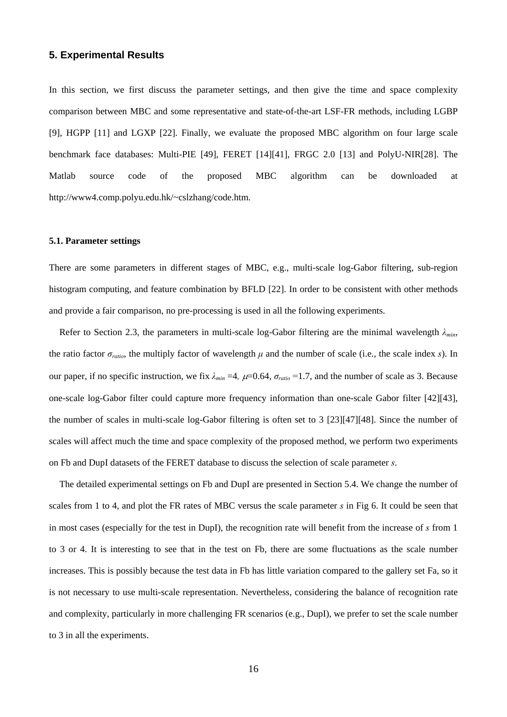# **5. Experimental Results**

In this section, we first discuss the parameter settings, and then give the time and space complexity comparison between MBC and some representative and state-of-the-art LSF-FR methods, including LGBP [9], HGPP [11] and LGXP [22]. Finally, we evaluate the proposed MBC algorithm on four large scale benchmark face databases: Multi-PIE [49], FERET [14][41], FRGC 2.0 [13] and PolyU-NIR[28]. The Matlab source code of the proposed MBC algorithm can be downloaded at http://www4.comp.polyu.edu.hk/~cslzhang/code.htm.

## **5.1. Parameter settings**

There are some parameters in different stages of MBC, e.g., multi-scale log-Gabor filtering, sub-region histogram computing, and feature combination by BFLD [22]. In order to be consistent with other methods and provide a fair comparison, no pre-processing is used in all the following experiments.

Refer to Section 2.3, the parameters in multi-scale log-Gabor filtering are the minimal wavelength *λmin*, the ratio factor  $\sigma_{ratio}$ , the multiply factor of wavelength  $\mu$  and the number of scale (i.e., the scale index *s*). In our paper, if no specific instruction, we fix  $\lambda_{min} = 4$ ,  $\mu = 0.64$ ,  $\sigma_{ratio} = 1.7$ , and the number of scale as 3. Because one-scale log-Gabor filter could capture more frequency information than one-scale Gabor filter [42][43], the number of scales in multi-scale log-Gabor filtering is often set to 3 [23][47][48]. Since the number of scales will affect much the time and space complexity of the proposed method, we perform two experiments on Fb and DupI datasets of the FERET database to discuss the selection of scale parameter *s*.

The detailed experimental settings on Fb and DupI are presented in Section 5.4. We change the number of scales from 1 to 4, and plot the FR rates of MBC versus the scale parameter *s* in Fig 6. It could be seen that in most cases (especially for the test in DupI), the recognition rate will benefit from the increase of *s* from 1 to 3 or 4. It is interesting to see that in the test on Fb, there are some fluctuations as the scale number increases. This is possibly because the test data in Fb has little variation compared to the gallery set Fa, so it is not necessary to use multi-scale representation. Nevertheless, considering the balance of recognition rate and complexity, particularly in more challenging FR scenarios (e.g., DupI), we prefer to set the scale number to 3 in all the experiments.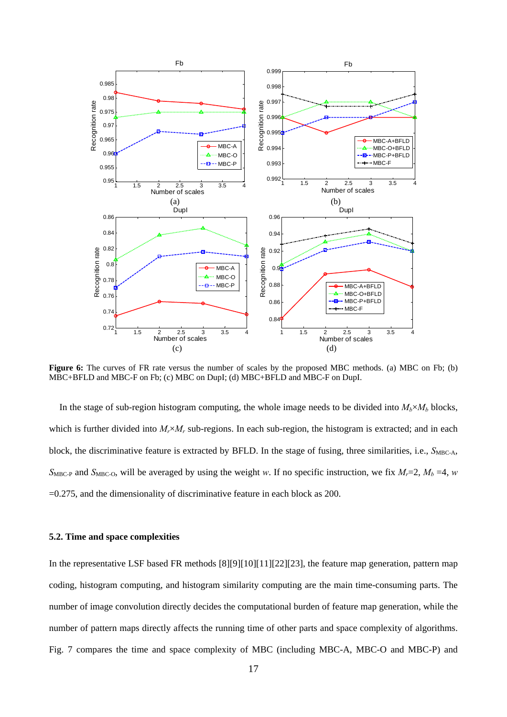

**Figure 6:** The curves of FR rate versus the number of scales by the proposed MBC methods. (a) MBC on Fb; (b) MBC+BFLD and MBC-F on Fb; (c) MBC on DupI; (d) MBC+BFLD and MBC-F on DupI.

In the stage of sub-region histogram computing, the whole image needs to be divided into  $M_b \times M_b$  blocks, which is further divided into  $M_r \times M_r$  sub-regions. In each sub-region, the histogram is extracted; and in each block, the discriminative feature is extracted by BFLD. In the stage of fusing, three similarities, i.e., *S*<sub>MBC-A</sub>,  $S_{\text{MBC-P}}$  and  $S_{\text{MBC-O}}$ , will be averaged by using the weight *w*. If no specific instruction, we fix  $M_r = 2$ ,  $M_b = 4$ , *w* =0.275, and the dimensionality of discriminative feature in each block as 200.

## **5.2. Time and space complexities**

In the representative LSF based FR methods [8][9][10][11][22][23], the feature map generation, pattern map coding, histogram computing, and histogram similarity computing are the main time-consuming parts. The number of image convolution directly decides the computational burden of feature map generation, while the number of pattern maps directly affects the running time of other parts and space complexity of algorithms. Fig. 7 compares the time and space complexity of MBC (including MBC-A, MBC-O and MBC-P) and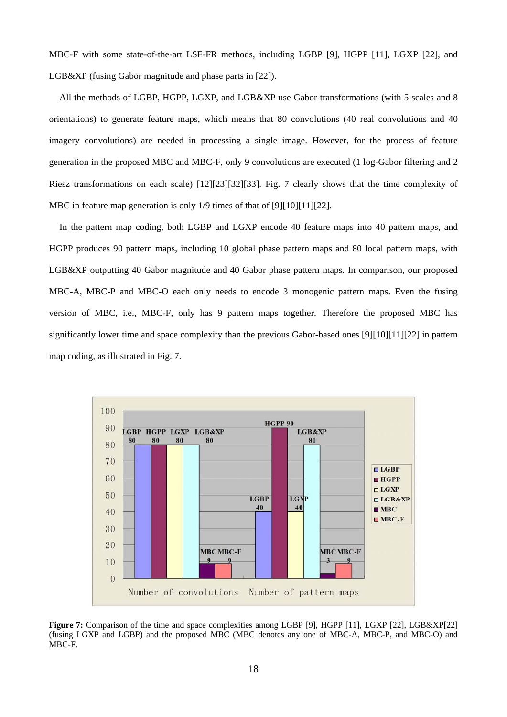MBC-F with some state-of-the-art LSF-FR methods, including LGBP [9], HGPP [11], LGXP [22], and LGB&XP (fusing Gabor magnitude and phase parts in [22]).

All the methods of LGBP, HGPP, LGXP, and LGB&XP use Gabor transformations (with 5 scales and 8 orientations) to generate feature maps, which means that 80 convolutions (40 real convolutions and 40 imagery convolutions) are needed in processing a single image. However, for the process of feature generation in the proposed MBC and MBC-F, only 9 convolutions are executed (1 log-Gabor filtering and 2 Riesz transformations on each scale) [12][23][32][33]. Fig. 7 clearly shows that the time complexity of MBC in feature map generation is only 1/9 times of that of [9][10][11][22].

In the pattern map coding, both LGBP and LGXP encode 40 feature maps into 40 pattern maps, and HGPP produces 90 pattern maps, including 10 global phase pattern maps and 80 local pattern maps, with LGB&XP outputting 40 Gabor magnitude and 40 Gabor phase pattern maps. In comparison, our proposed MBC-A, MBC-P and MBC-O each only needs to encode 3 monogenic pattern maps. Even the fusing version of MBC, i.e., MBC-F, only has 9 pattern maps together. Therefore the proposed MBC has significantly lower time and space complexity than the previous Gabor-based ones [9][10][11][22] in pattern map coding, as illustrated in Fig. 7.



**Figure 7:** Comparison of the time and space complexities among LGBP [9], HGPP [11], LGXP [22], LGB&XP[22] (fusing LGXP and LGBP) and the proposed MBC (MBC denotes any one of MBC-A, MBC-P, and MBC-O) and MBC-F.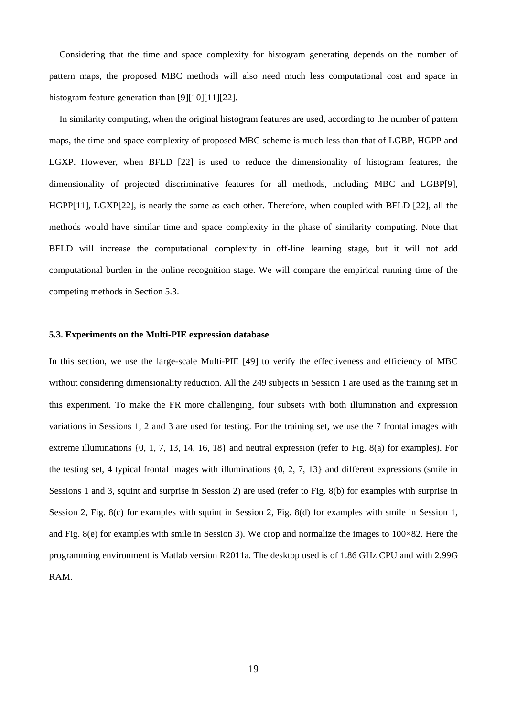Considering that the time and space complexity for histogram generating depends on the number of pattern maps, the proposed MBC methods will also need much less computational cost and space in histogram feature generation than [9][10][11][22].

In similarity computing, when the original histogram features are used, according to the number of pattern maps, the time and space complexity of proposed MBC scheme is much less than that of LGBP, HGPP and LGXP. However, when BFLD [22] is used to reduce the dimensionality of histogram features, the dimensionality of projected discriminative features for all methods, including MBC and LGBP[9], HGPP[11], LGXP[22], is nearly the same as each other. Therefore, when coupled with BFLD [22], all the methods would have similar time and space complexity in the phase of similarity computing. Note that BFLD will increase the computational complexity in off-line learning stage, but it will not add computational burden in the online recognition stage. We will compare the empirical running time of the competing methods in Section 5.3.

## **5.3. Experiments on the Multi-PIE expression database**

In this section, we use the large-scale Multi-PIE [49] to verify the effectiveness and efficiency of MBC without considering dimensionality reduction. All the 249 subjects in Session 1 are used as the training set in this experiment. To make the FR more challenging, four subsets with both illumination and expression variations in Sessions 1, 2 and 3 are used for testing. For the training set, we use the 7 frontal images with extreme illuminations {0, 1, 7, 13, 14, 16, 18} and neutral expression (refer to Fig. 8(a) for examples). For the testing set, 4 typical frontal images with illuminations {0, 2, 7, 13} and different expressions (smile in Sessions 1 and 3, squint and surprise in Session 2) are used (refer to Fig. 8(b) for examples with surprise in Session 2, Fig. 8(c) for examples with squint in Session 2, Fig. 8(d) for examples with smile in Session 1, and Fig. 8(e) for examples with smile in Session 3). We crop and normalize the images to 100×82. Here the programming environment is Matlab version R2011a. The desktop used is of 1.86 GHz CPU and with 2.99G RAM.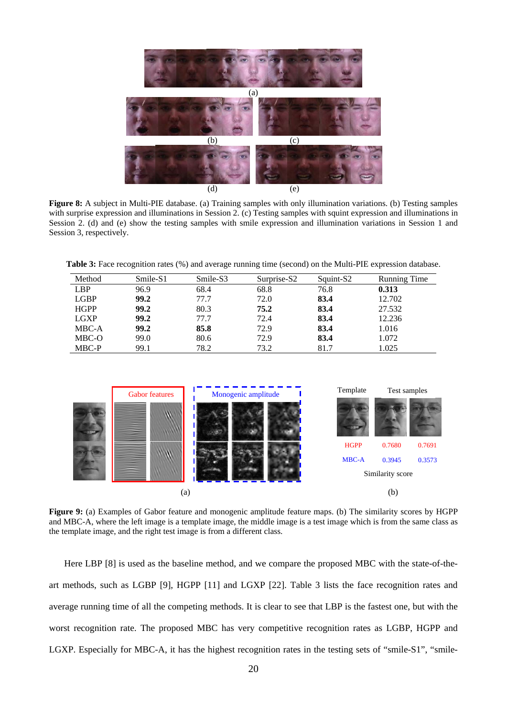

**Figure 8:** A subject in Multi-PIE database. (a) Training samples with only illumination variations. (b) Testing samples with surprise expression and illuminations in Session 2. (c) Testing samples with squint expression and illuminations in Session 2. (d) and (e) show the testing samples with smile expression and illumination variations in Session 1 and Session 3, respectively.

**Table 3:** Face recognition rates (%) and average running time (second) on the Multi-PIE expression database.

| Method      | Smile-S1 | Smile-S3 | Surprise-S2 | Squint-S2 | <b>Running Time</b> |
|-------------|----------|----------|-------------|-----------|---------------------|
| <b>LBP</b>  | 96.9     | 68.4     | 68.8        | 76.8      | 0.313               |
| <b>LGBP</b> | 99.2     | 77.7     | 72.0        | 83.4      | 12.702              |
| <b>HGPP</b> | 99.2     | 80.3     | 75.2        | 83.4      | 27.532              |
| <b>LGXP</b> | 99.2     | 77.7     | 72.4        | 83.4      | 12.236              |
| MBC-A       | 99.2     | 85.8     | 72.9        | 83.4      | 1.016               |
| MBC-O       | 99.0     | 80.6     | 72.9        | 83.4      | 1.072               |
| MBC-P       | 99.1     | 78.2     | 73.2        | 81.7      | 1.025               |



**Figure 9:** (a) Examples of Gabor feature and monogenic amplitude feature maps. (b) The similarity scores by HGPP and MBC-A, where the left image is a template image, the middle image is a test image which is from the same class as the template image, and the right test image is from a different class.

Here LBP [8] is used as the baseline method, and we compare the proposed MBC with the state-of-theart methods, such as LGBP [9], HGPP [11] and LGXP [22]. Table 3 lists the face recognition rates and average running time of all the competing methods. It is clear to see that LBP is the fastest one, but with the worst recognition rate. The proposed MBC has very competitive recognition rates as LGBP, HGPP and LGXP. Especially for MBC-A, it has the highest recognition rates in the testing sets of "smile-S1", "smile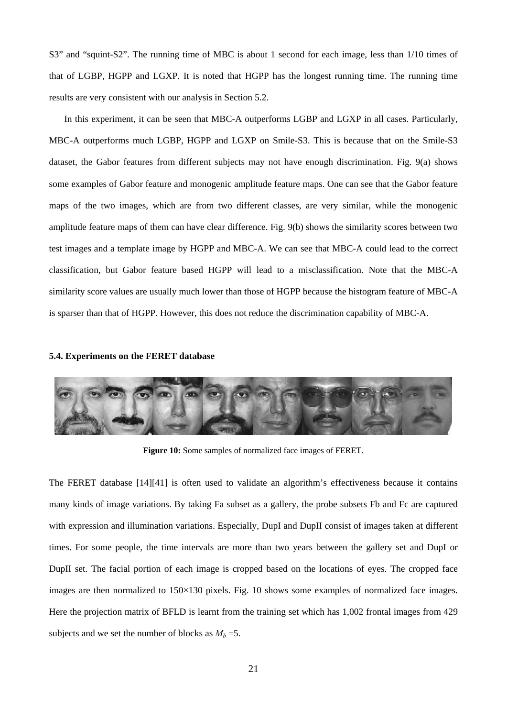S3" and "squint-S2". The running time of MBC is about 1 second for each image, less than 1/10 times of that of LGBP, HGPP and LGXP. It is noted that HGPP has the longest running time. The running time results are very consistent with our analysis in Section 5.2.

In this experiment, it can be seen that MBC-A outperforms LGBP and LGXP in all cases. Particularly, MBC-A outperforms much LGBP, HGPP and LGXP on Smile-S3. This is because that on the Smile-S3 dataset, the Gabor features from different subjects may not have enough discrimination. Fig. 9(a) shows some examples of Gabor feature and monogenic amplitude feature maps. One can see that the Gabor feature maps of the two images, which are from two different classes, are very similar, while the monogenic amplitude feature maps of them can have clear difference. Fig. 9(b) shows the similarity scores between two test images and a template image by HGPP and MBC-A. We can see that MBC-A could lead to the correct classification, but Gabor feature based HGPP will lead to a misclassification. Note that the MBC-A similarity score values are usually much lower than those of HGPP because the histogram feature of MBC-A is sparser than that of HGPP. However, this does not reduce the discrimination capability of MBC-A.

## **5.4. Experiments on the FERET database**



**Figure 10:** Some samples of normalized face images of FERET.

The FERET database [14][41] is often used to validate an algorithm's effectiveness because it contains many kinds of image variations. By taking Fa subset as a gallery, the probe subsets Fb and Fc are captured with expression and illumination variations. Especially, DupI and DupII consist of images taken at different times. For some people, the time intervals are more than two years between the gallery set and DupI or DupII set. The facial portion of each image is cropped based on the locations of eyes. The cropped face images are then normalized to 150×130 pixels. Fig. 10 shows some examples of normalized face images. Here the projection matrix of BFLD is learnt from the training set which has 1,002 frontal images from 429 subjects and we set the number of blocks as  $M_b = 5$ .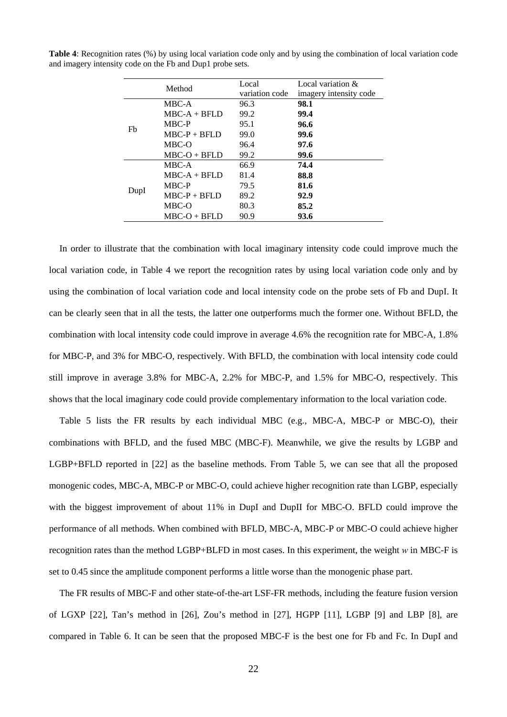|      | Method          | Local          | Local variation $\&$   |
|------|-----------------|----------------|------------------------|
|      |                 | variation code | imagery intensity code |
|      | MBC-A           | 96.3           | 98.1                   |
|      | $MBC-A + BFI.D$ | 99.2           | 99.4                   |
|      | MBC-P           | 95.1           | 96.6                   |
| Fb   | $MBC-P + BFLD$  | 99.0           | 99.6                   |
|      | MBC-O           | 96.4           | 97.6                   |
|      | $MBC-O + BFLD$  | 99.2           | 99.6                   |
|      | MBC-A           | 66.9           | 74.4                   |
|      | $MBC-A + BFLD$  | 81.4           | 88.8                   |
|      | MBC-P           | 79.5           | 81.6                   |
| DupI | $MBC-P + BFLD$  | 89.2           | 92.9                   |
|      | MBC-O           | 80.3           | 85.2                   |
|      | $MBC-O + BFLD$  | 90.9           | 93.6                   |

**Table 4**: Recognition rates (%) by using local variation code only and by using the combination of local variation code and imagery intensity code on the Fb and Dup1 probe sets.

In order to illustrate that the combination with local imaginary intensity code could improve much the local variation code, in Table 4 we report the recognition rates by using local variation code only and by using the combination of local variation code and local intensity code on the probe sets of Fb and DupI. It can be clearly seen that in all the tests, the latter one outperforms much the former one. Without BFLD, the combination with local intensity code could improve in average 4.6% the recognition rate for MBC-A, 1.8% for MBC-P, and 3% for MBC-O, respectively. With BFLD, the combination with local intensity code could still improve in average 3.8% for MBC-A, 2.2% for MBC-P, and 1.5% for MBC-O, respectively. This shows that the local imaginary code could provide complementary information to the local variation code.

Table 5 lists the FR results by each individual MBC (e.g., MBC-A, MBC-P or MBC-O), their combinations with BFLD, and the fused MBC (MBC-F). Meanwhile, we give the results by LGBP and LGBP+BFLD reported in [22] as the baseline methods. From Table 5, we can see that all the proposed monogenic codes, MBC-A, MBC-P or MBC-O, could achieve higher recognition rate than LGBP, especially with the biggest improvement of about 11% in DupI and DupII for MBC-O. BFLD could improve the performance of all methods. When combined with BFLD, MBC-A, MBC-P or MBC-O could achieve higher recognition rates than the method LGBP+BLFD in most cases. In this experiment, the weight *w* in MBC-F is set to 0.45 since the amplitude component performs a little worse than the monogenic phase part.

The FR results of MBC-F and other state-of-the-art LSF-FR methods, including the feature fusion version of LGXP [22], Tan's method in [26], Zou's method in [27], HGPP [11], LGBP [9] and LBP [8], are compared in Table 6. It can be seen that the proposed MBC-F is the best one for Fb and Fc. In DupI and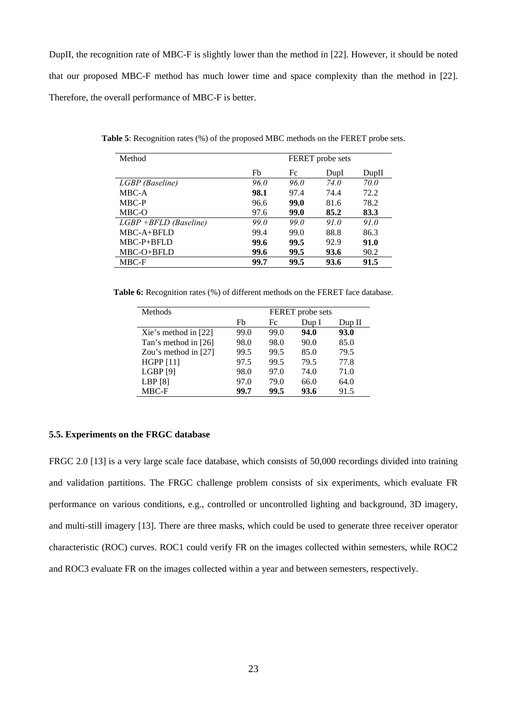DupII, the recognition rate of MBC-F is slightly lower than the method in [22]. However, it should be noted that our proposed MBC-F method has much lower time and space complexity than the method in [22]. Therefore, the overall performance of MBC-F is better.

| Method                  |             |             | FERET probe sets |       |  |  |
|-------------------------|-------------|-------------|------------------|-------|--|--|
|                         | Fb          | Fc          | DupI             | DupII |  |  |
| LGBP (Baseline)         | <i>96.0</i> | <i>96.0</i> | <i>74.0</i>      | 70.0  |  |  |
| MBC-A                   | 98.1        | 97.4        | 74.4             | 72.2  |  |  |
| MBC-P                   | 96.6        | 99.0        | 81.6             | 78.2  |  |  |
| MBC-O                   | 97.6        | 99.0        | 85.2             | 83.3  |  |  |
| $LGBP$ +BFLD (Baseline) | 99.O        | 99.O        | 91.0             | 91.0  |  |  |
| MBC-A+BFLD              | 99.4        | 99.0        | 88.8             | 86.3  |  |  |
| $MBC-P+BFLD$            | 99.6        | 99.5        | 92.9             | 91.0  |  |  |
| MBC-O+BFLD              | 99.6        | 99.5        | 93.6             | 90.2  |  |  |
| MBC-F                   | 99.7        | 99.5        | 93.6             | 91.5  |  |  |

**Table 5**: Recognition rates (%) of the proposed MBC methods on the FERET probe sets.

Table 6: Recognition rates (%) of different methods on the FERET face database.

| Methods                |      |      | FERET probe sets |           |  |
|------------------------|------|------|------------------|-----------|--|
|                        | Fb   | Fc   | Dup I            | $D$ up II |  |
| Xie's method in $[22]$ | 99.0 | 99.0 | 94.0             | 93.0      |  |
| Tan's method in [26]   | 98.0 | 98.0 | 90.0             | 85.0      |  |
| Zou's method in $[27]$ | 99.5 | 99.5 | 85.0             | 79.5      |  |
| <b>HGPP</b> [11]       | 97.5 | 99.5 | 79.5             | 77.8      |  |
| LGBP[9]                | 98.0 | 97.0 | 74.0             | 71.0      |  |
| LBP[8]                 | 97.0 | 79.0 | 66.0             | 64.0      |  |
| MBC-F                  | 99.7 | 99.5 | 93.6             | 91.5      |  |

## **5.5. Experiments on the FRGC database**

FRGC 2.0 [13] is a very large scale face database, which consists of 50,000 recordings divided into training and validation partitions. The FRGC challenge problem consists of six experiments, which evaluate FR performance on various conditions, e.g., controlled or uncontrolled lighting and background, 3D imagery, and multi-still imagery [13]. There are three masks, which could be used to generate three receiver operator characteristic (ROC) curves. ROC1 could verify FR on the images collected within semesters, while ROC2 and ROC3 evaluate FR on the images collected within a year and between semesters, respectively.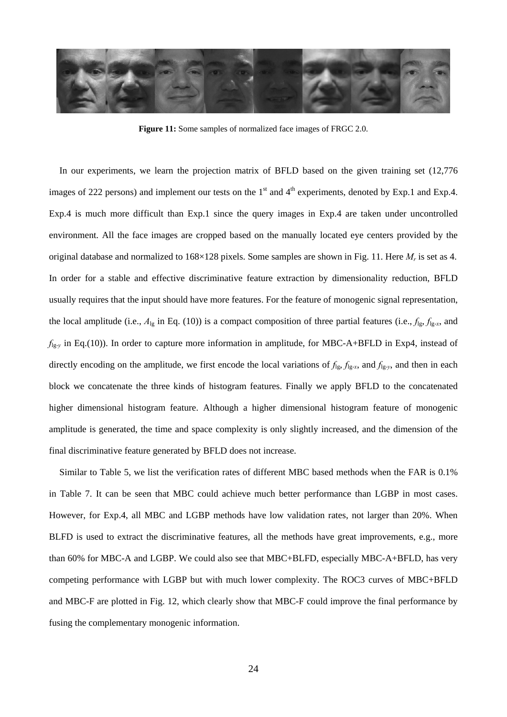

**Figure 11:** Some samples of normalized face images of FRGC 2.0.

In our experiments, we learn the projection matrix of BFLD based on the given training set (12,776 images of 222 persons) and implement our tests on the  $1<sup>st</sup>$  and  $4<sup>th</sup>$  experiments, denoted by Exp.1 and Exp.4. Exp.4 is much more difficult than Exp.1 since the query images in Exp.4 are taken under uncontrolled environment. All the face images are cropped based on the manually located eye centers provided by the original database and normalized to 168×128 pixels. Some samples are shown in Fig. 11. Here *Mr* is set as 4. In order for a stable and effective discriminative feature extraction by dimensionality reduction, BFLD usually requires that the input should have more features. For the feature of monogenic signal representation, the local amplitude (i.e.,  $A_{lg}$  in Eq. (10)) is a compact composition of three partial features (i.e.,  $f_{lg}$ ,  $f_{lg-x}$ , and *f*lg-*y* in Eq.(10)). In order to capture more information in amplitude, for MBC-A+BFLD in Exp4, instead of directly encoding on the amplitude, we first encode the local variations of  $f_{lg}$ ,  $f_{lg-x}$ , and  $f_{lg-y}$ , and then in each block we concatenate the three kinds of histogram features. Finally we apply BFLD to the concatenated higher dimensional histogram feature. Although a higher dimensional histogram feature of monogenic amplitude is generated, the time and space complexity is only slightly increased, and the dimension of the final discriminative feature generated by BFLD does not increase.

Similar to Table 5, we list the verification rates of different MBC based methods when the FAR is 0.1% in Table 7. It can be seen that MBC could achieve much better performance than LGBP in most cases. However, for Exp.4, all MBC and LGBP methods have low validation rates, not larger than 20%. When BLFD is used to extract the discriminative features, all the methods have great improvements, e.g., more than 60% for MBC-A and LGBP. We could also see that MBC+BLFD, especially MBC-A+BFLD, has very competing performance with LGBP but with much lower complexity. The ROC3 curves of MBC+BFLD and MBC-F are plotted in Fig. 12, which clearly show that MBC-F could improve the final performance by fusing the complementary monogenic information.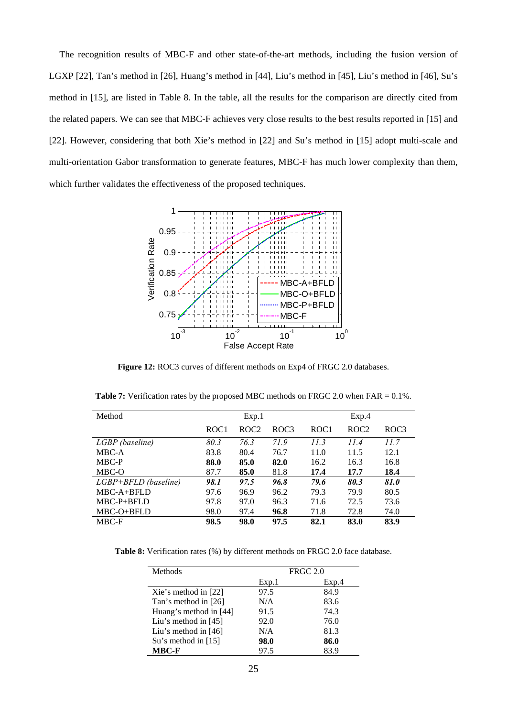The recognition results of MBC-F and other state-of-the-art methods, including the fusion version of LGXP [22], Tan's method in [26], Huang's method in [44], Liu's method in [45], Liu's method in [46], Su's method in [15], are listed in Table 8. In the table, all the results for the comparison are directly cited from the related papers. We can see that MBC-F achieves very close results to the best results reported in [15] and [22]. However, considering that both Xie's method in [22] and Su's method in [15] adopt multi-scale and multi-orientation Gabor transformation to generate features, MBC-F has much lower complexity than them, which further validates the effectiveness of the proposed techniques.



**Figure 12:** ROC3 curves of different methods on Exp4 of FRGC 2.0 databases.

| Method                 | Exp.1            |                  | Exp.4            |                  |                  |      |
|------------------------|------------------|------------------|------------------|------------------|------------------|------|
|                        | ROC <sub>1</sub> | ROC <sub>2</sub> | ROC <sub>3</sub> | ROC <sub>1</sub> | ROC <sub>2</sub> | ROC3 |
| LGBP (baseline)        | 80.3             | 76.3             | 71.9             | 11.3             | 11.4             | 11.7 |
| MBC-A                  | 83.8             | 80.4             | 76.7             | 11.0             | 11.5             | 12.1 |
| MBC-P                  | 88.0             | 85.0             | 82.0             | 16.2             | 16.3             | 16.8 |
| MBC-O                  | 87.7             | 85.0             | 81.8             | 17.4             | 17.7             | 18.4 |
| $LGBP+BFLD$ (baseline) | 98.1             | 97.5             | 96.8             | 79.6             | 80.3             | 81.0 |
| $MBC-A+BFLD$           | 97.6             | 96.9             | 96.2             | 79.3             | 79.9             | 80.5 |
| $MBC-P+BFLD$           | 97.8             | 97.0             | 96.3             | 71.6             | 72.5             | 73.6 |
| MBC-O+BFLD             | 98.0             | 97.4             | 96.8             | 71.8             | 72.8             | 74.0 |
| MBC-F                  | 98.5             | 98.0             | 97.5             | 82.1             | 83.0             | 83.9 |

**Table 7:** Verification rates by the proposed MBC methods on FRGC 2.0 when FAR = 0.1%.

**Table 8:** Verification rates (%) by different methods on FRGC 2.0 face database.

| Methods                |       | <b>FRGC 2.0</b> |
|------------------------|-------|-----------------|
|                        | Exp.1 | Exp.4           |
| Xie's method in $[22]$ | 97.5  | 84.9            |
| Tan's method in [26]   | N/A   | 83.6            |
| Huang's method in [44] | 91.5  | 74.3            |
| Liu's method in $[45]$ | 92.0  | 76.0            |
| Liu's method in $[46]$ | N/A   | 81.3            |
| Su's method in $[15]$  | 98.0  | 86.0            |
| <b>MBC-F</b>           | 97.5  | 83 9            |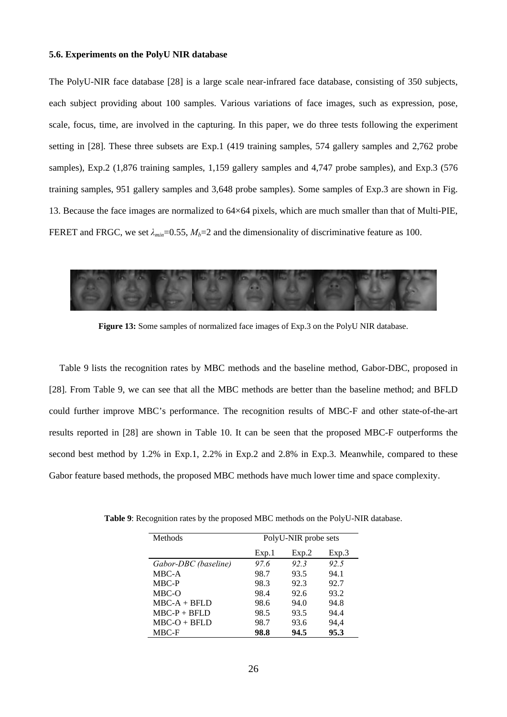#### **5.6. Experiments on the PolyU NIR database**

The PolyU-NIR face database [28] is a large scale near-infrared face database, consisting of 350 subjects, each subject providing about 100 samples. Various variations of face images, such as expression, pose, scale, focus, time, are involved in the capturing. In this paper, we do three tests following the experiment setting in [28]. These three subsets are Exp.1 (419 training samples, 574 gallery samples and 2,762 probe samples), Exp.2 (1,876 training samples, 1,159 gallery samples and 4,747 probe samples), and Exp.3 (576 training samples, 951 gallery samples and 3,648 probe samples). Some samples of Exp.3 are shown in Fig. 13. Because the face images are normalized to 64×64 pixels, which are much smaller than that of Multi-PIE, FERET and FRGC, we set  $\lambda_{min} = 0.55$ ,  $M_b = 2$  and the dimensionality of discriminative feature as 100.



**Figure 13:** Some samples of normalized face images of Exp.3 on the PolyU NIR database.

Table 9 lists the recognition rates by MBC methods and the baseline method, Gabor-DBC, proposed in [28]. From Table 9, we can see that all the MBC methods are better than the baseline method; and BFLD could further improve MBC's performance. The recognition results of MBC-F and other state-of-the-art results reported in [28] are shown in Table 10. It can be seen that the proposed MBC-F outperforms the second best method by 1.2% in Exp.1, 2.2% in Exp.2 and 2.8% in Exp.3. Meanwhile, compared to these Gabor feature based methods, the proposed MBC methods have much lower time and space complexity.

| Methods              | PolyU-NIR probe sets |       |       |  |
|----------------------|----------------------|-------|-------|--|
|                      | Exp.1                | Exp.2 | Exp.3 |  |
| Gabor-DBC (baseline) | 97.6                 | 92.3  | 92.5  |  |
| MBC-A                | 98.7                 | 93.5  | 94.1  |  |
| MBC-P                | 98.3                 | 92.3  | 92.7  |  |
| MBC-O                | 98.4                 | 92.6  | 93.2  |  |
| $MBC-A + BFLD$       | 98.6                 | 94.0  | 94.8  |  |
| $MBC-P + BFLD$       | 98.5                 | 93.5  | 94.4  |  |
| $MBC-O + BFLD$       | 98.7                 | 93.6  | 94,4  |  |
| MBC-F                | 98.8                 | 94.5  | 95.3  |  |

**Table 9**: Recognition rates by the proposed MBC methods on the PolyU-NIR database.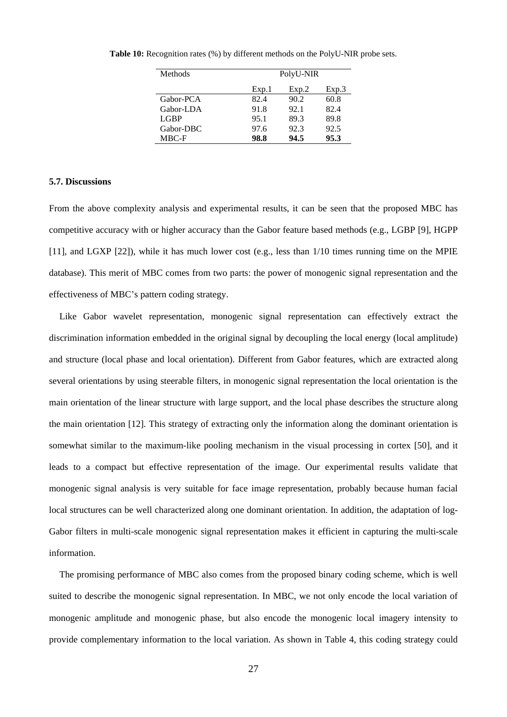| Methods   | PolyU-NIR |       |       |  |
|-----------|-----------|-------|-------|--|
|           | Exp.1     | Exp.2 | Exp.3 |  |
| Gabor-PCA | 82.4      | 90.2  | 60.8  |  |
| Gabor-LDA | 91.8      | 92.1  | 82.4  |  |
| LGBP      | 95.1      | 89.3  | 89.8  |  |
| Gabor-DBC | 97.6      | 92.3  | 92.5  |  |
| MBC-F     | 98.8      | 94.5  | 95.3  |  |

**Table 10:** Recognition rates (%) by different methods on the PolyU-NIR probe sets.

## **5.7. Discussions**

From the above complexity analysis and experimental results, it can be seen that the proposed MBC has competitive accuracy with or higher accuracy than the Gabor feature based methods (e.g., LGBP [9], HGPP [11], and LGXP [22]), while it has much lower cost (e.g., less than  $1/10$  times running time on the MPIE database). This merit of MBC comes from two parts: the power of monogenic signal representation and the effectiveness of MBC's pattern coding strategy.

Like Gabor wavelet representation, monogenic signal representation can effectively extract the discrimination information embedded in the original signal by decoupling the local energy (local amplitude) and structure (local phase and local orientation). Different from Gabor features, which are extracted along several orientations by using steerable filters, in monogenic signal representation the local orientation is the main orientation of the linear structure with large support, and the local phase describes the structure along the main orientation [12]. This strategy of extracting only the information along the dominant orientation is somewhat similar to the maximum-like pooling mechanism in the visual processing in cortex [50], and it leads to a compact but effective representation of the image. Our experimental results validate that monogenic signal analysis is very suitable for face image representation, probably because human facial local structures can be well characterized along one dominant orientation. In addition, the adaptation of log-Gabor filters in multi-scale monogenic signal representation makes it efficient in capturing the multi-scale information.

The promising performance of MBC also comes from the proposed binary coding scheme, which is well suited to describe the monogenic signal representation. In MBC, we not only encode the local variation of monogenic amplitude and monogenic phase, but also encode the monogenic local imagery intensity to provide complementary information to the local variation. As shown in Table 4, this coding strategy could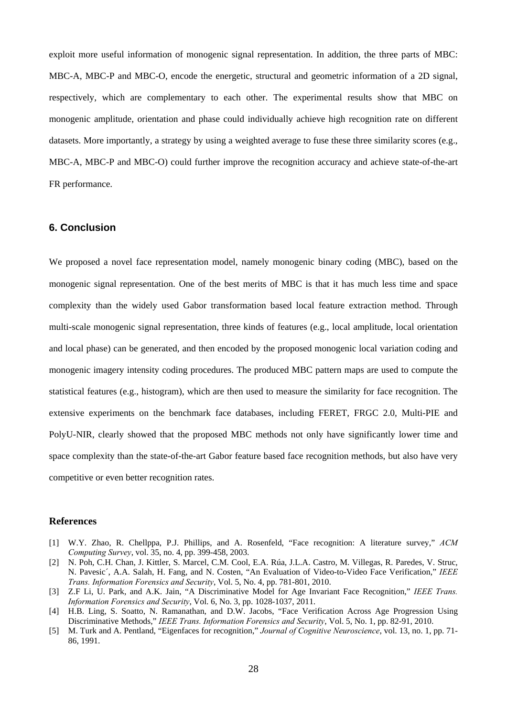exploit more useful information of monogenic signal representation. In addition, the three parts of MBC: MBC-A, MBC-P and MBC-O, encode the energetic, structural and geometric information of a 2D signal, respectively, which are complementary to each other. The experimental results show that MBC on monogenic amplitude, orientation and phase could individually achieve high recognition rate on different datasets. More importantly, a strategy by using a weighted average to fuse these three similarity scores (e.g., MBC-A, MBC-P and MBC-O) could further improve the recognition accuracy and achieve state-of-the-art FR performance.

# **6. Conclusion**

We proposed a novel face representation model, namely monogenic binary coding (MBC), based on the monogenic signal representation. One of the best merits of MBC is that it has much less time and space complexity than the widely used Gabor transformation based local feature extraction method. Through multi-scale monogenic signal representation, three kinds of features (e.g., local amplitude, local orientation and local phase) can be generated, and then encoded by the proposed monogenic local variation coding and monogenic imagery intensity coding procedures. The produced MBC pattern maps are used to compute the statistical features (e.g., histogram), which are then used to measure the similarity for face recognition. The extensive experiments on the benchmark face databases, including FERET, FRGC 2.0, Multi-PIE and PolyU-NIR, clearly showed that the proposed MBC methods not only have significantly lower time and space complexity than the state-of-the-art Gabor feature based face recognition methods, but also have very competitive or even better recognition rates.

## **References**

- [1] W.Y. Zhao, R. Chellppa, P.J. Phillips, and A. Rosenfeld, "Face recognition: A literature survey," *ACM Computing Survey*, vol. 35, no. 4, pp. 399-458, 2003.
- [2] N. Poh, C.H. Chan, J. Kittler, S. Marcel, C.M. Cool, E.A. Rúa, J.L.A. Castro, M. Villegas, R. Paredes, V. Struc, N. Pavesic´, A.A. Salah, H. Fang, and N. Costen, "An Evaluation of Video-to-Video Face Verification," *IEEE Trans. Information Forensics and Security*, Vol. 5, No. 4, pp. 781-801, 2010.
- [3] Z.F Li, U. Park, and A.K. Jain, "A Discriminative Model for Age Invariant Face Recognition," *IEEE Trans. Information Forensics and Security*, Vol. 6, No. 3, pp. 1028-1037, 2011.
- [4] H.B. Ling, S. Soatto, N. Ramanathan, and D.W. Jacobs, "Face Verification Across Age Progression Using Discriminative Methods," *IEEE Trans. Information Forensics and Security*, Vol. 5, No. 1, pp. 82-91, 2010.
- [5] M. Turk and A. Pentland, "Eigenfaces for recognition," *Journal of Cognitive Neuroscience*, vol. 13, no. 1, pp. 71- 86, 1991.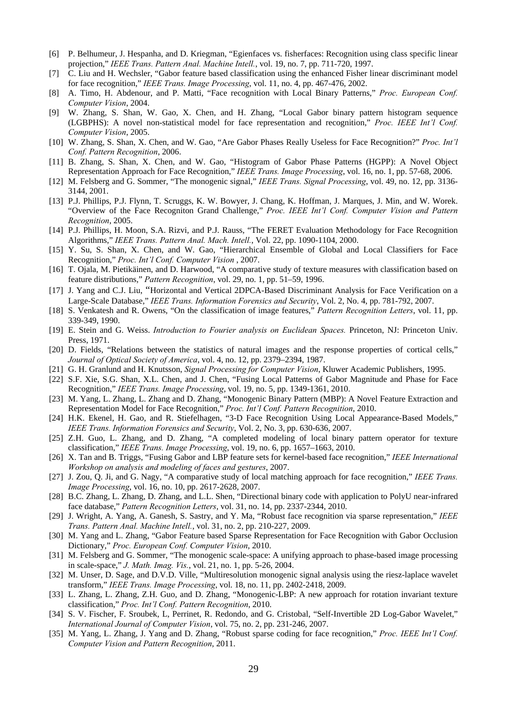- [6] P. Belhumeur, J. Hespanha, and D. Kriegman, "Egienfaces vs. fisherfaces: Recognition using class specific linear projection," *IEEE Trans. Pattern Anal. Machine Intell.*, vol. 19, no. 7, pp. 711-720, 1997.
- [7] C. Liu and H. Wechsler, "Gabor feature based classification using the enhanced Fisher linear discriminant model for face recognition," *IEEE Trans. Image Processing*, vol. 11, no. 4, pp. 467-476, 2002.
- [8] A. Timo, H. Abdenour, and P. Matti, "Face recognition with Local Binary Patterns," *Proc. European Conf. Computer Vision*, 2004.
- [9] W. Zhang, S. Shan, W. Gao, X. Chen, and H. Zhang, "Local Gabor binary pattern histogram sequence (LGBPHS): A novel non-statistical model for face representation and recognition," *Proc. IEEE Int'l Conf. Computer Vision*, 2005.
- [10] W. Zhang, S. Shan, X. Chen, and W. Gao, "Are Gabor Phases Really Useless for Face Recognition?" *Proc. Int'l Conf. Pattern Recognition*, 2006.
- [11] B. Zhang, S. Shan, X. Chen, and W. Gao, "Histogram of Gabor Phase Patterns (HGPP): A Novel Object Representation Approach for Face Recognition," *IEEE Trans. Image Processing*, vol. 16, no. 1, pp. 57-68, 2006.
- [12] M. Felsberg and G. Sommer, "The monogenic signal," *IEEE Trans. Signal Processing*, vol. 49, no. 12, pp. 3136- 3144, 2001.
- [13] P.J. Phillips, P.J. Flynn, T. Scruggs, K. W. Bowyer, J. Chang, K. Hoffman, J. Marques, J. Min, and W. Worek. "Overview of the Face Recogniton Grand Challenge," *Proc. IEEE Int'l Conf. Computer Vision and Pattern Recognition*, 2005.
- [14] P.J. Phillips, H. Moon, S.A. Rizvi, and P.J. Rauss, "The FERET Evaluation Methodology for Face Recognition Algorithms," *IEEE Trans. Pattern Anal. Mach. Intell.*, Vol. 22, pp. 1090-1104, 2000.
- [15] Y. Su, S. Shan, X. Chen, and W. Gao, "Hierarchical Ensemble of Global and Local Classifiers for Face Recognition," *Proc. Int'l Conf. Computer Vision* , 2007.
- [16] T. Ojala, M. Pietikäinen, and D. Harwood, "A comparative study of texture measures with classification based on feature distributions," *Pattern Recognition*, vol. 29, no. 1, pp. 51–59, 1996.
- [17] J. Yang and C.J. Liu, "Horizontal and Vertical 2DPCA-Based Discriminant Analysis for Face Verification on a Large-Scale Database," *IEEE Trans. Information Forensics and Security*, Vol. 2, No. 4, pp. 781-792, 2007.
- [18] S. Venkatesh and R. Owens, "On the classification of image features," *Pattern Recognition Letters*, vol. 11, pp. 339-349, 1990.
- [19] E. Stein and G. Weiss. *Introduction to Fourier analysis on Euclidean Spaces.* Princeton, NJ: Princeton Univ. Press, 1971.
- [20] D. Fields, "Relations between the statistics of natural images and the response properties of cortical cells," *Journal of Optical Society of America*, vol. 4, no. 12, pp. 2379–2394, 1987.
- [21] G. H. Granlund and H. Knutsson, *Signal Processing for Computer Vision*, Kluwer Academic Publishers, 1995.
- [22] S.F. Xie, S.G. Shan, X.L. Chen, and J. Chen, "Fusing Local Patterns of Gabor Magnitude and Phase for Face Recognition," *IEEE Trans. Image Processing*, vol. 19, no. 5, pp. 1349-1361, 2010.
- [23] M. Yang, L. Zhang, L. Zhang and D. Zhang, "Monogenic Binary Pattern (MBP): A Novel Feature Extraction and Representation Model for Face Recognition," *Proc. Int'l Conf. Pattern Recognition*, 2010.
- [24] H.K. Ekenel, H. Gao, and R. Stiefelhagen, "3-D Face Recognition Using Local Appearance-Based Models," *IEEE Trans. Information Forensics and Security*, Vol. 2, No. 3, pp. 630-636, 2007.
- [25] Z.H. Guo, L. Zhang, and D. Zhang, "A completed modeling of local binary pattern operator for texture classification," *IEEE Trans. Image Processing*, vol. 19, no. 6, pp. 1657–1663, 2010.
- [26] X. Tan and B. Triggs, "Fusing Gabor and LBP feature sets for kernel-based face recognition," *IEEE International Workshop on analysis and modeling of faces and gestures*, 2007.
- [27] J. Zou, Q. Ji, and G. Nagy, "A comparative study of local matching approach for face recognition," *IEEE Trans. Image Processing*, vol. 16, no. 10, pp. 2617-2628, 2007.
- [28] B.C. Zhang, L. Zhang, D. Zhang, and L.L. Shen, "Directional binary code with application to PolyU near-infrared face database," *Pattern Recognition Letters*, vol. 31, no. 14, pp. 2337-2344, 2010.
- [29] J. Wright, A. Yang, A. Ganesh, S. Sastry, and Y. Ma, "Robust face recognition via sparse representation," *IEEE Trans. Pattern Anal. Machine Intell.*, vol. 31, no. 2, pp. 210-227, 2009.
- [30] M. Yang and L. Zhang, "Gabor Feature based Sparse Representation for Face Recognition with Gabor Occlusion Dictionary," *Proc. European Conf. Computer Vision*, 2010.
- [31] M. Felsberg and G. Sommer, "The monogenic scale-space: A unifying approach to phase-based image processing in scale-space," *J. Math. Imag. Vis.*, vol. 21, no. 1, pp. 5-26, 2004.
- [32] M. Unser, D. Sage, and D.V.D. Ville, "Multiresolution monogenic signal analysis using the riesz-laplace wavelet transform," *IEEE Trans. Image Processing*, vol. 18, no. 11, pp. 2402-2418, 2009.
- [33] L. Zhang, L. Zhang, Z.H. Guo, and D. Zhang, "Monogenic-LBP: A new approach for rotation invariant texture classification," *Proc. Int'l Conf. Pattern Recognition*, 2010.
- [34] S. V. Fischer, F. Sroubek, L, Perrinet, R. Redondo, and G. Cristobal, "Self-Invertible 2D Log-Gabor Wavelet," *International Journal of Computer Vision*, vol. 75, no. 2, pp. 231-246, 2007.
- [35] M. Yang, L. Zhang, J. Yang and D. Zhang, "Robust sparse coding for face recognition," *Proc. IEEE Int'l Conf. Computer Vision and Pattern Recognition*, 2011.